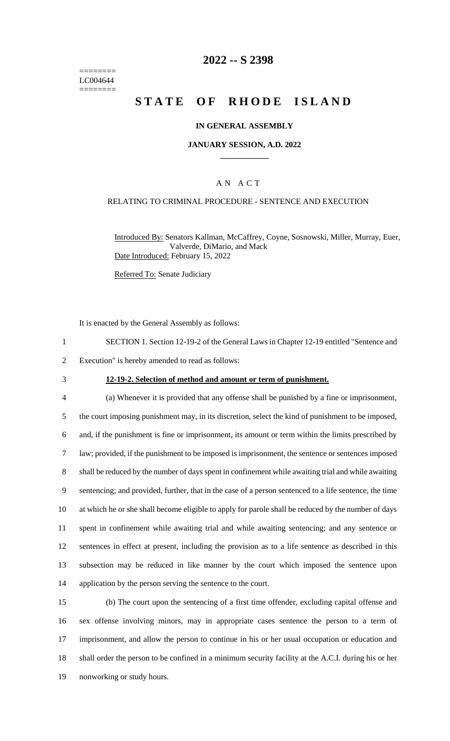======== LC004644 ========

### **2022 -- S 2398**

# **STATE OF RHODE ISLAND**

#### **IN GENERAL ASSEMBLY**

#### **JANUARY SESSION, A.D. 2022 \_\_\_\_\_\_\_\_\_\_\_\_**

### A N A C T

#### RELATING TO CRIMINAL PROCEDURE - SENTENCE AND EXECUTION

Introduced By: Senators Kallman, McCaffrey, Coyne, Sosnowski, Miller, Murray, Euer, Valverde, DiMario, and Mack Date Introduced: February 15, 2022

Referred To: Senate Judiciary

It is enacted by the General Assembly as follows:

- 1 SECTION 1. Section 12-19-2 of the General Laws in Chapter 12-19 entitled "Sentence and
- 2 Execution" is hereby amended to read as follows:
- 

#### 3 **12-19-2. Selection of method and amount or term of punishment.**

 (a) Whenever it is provided that any offense shall be punished by a fine or imprisonment, the court imposing punishment may, in its discretion, select the kind of punishment to be imposed, and, if the punishment is fine or imprisonment, its amount or term within the limits prescribed by law; provided, if the punishment to be imposed is imprisonment, the sentence or sentences imposed shall be reduced by the number of days spent in confinement while awaiting trial and while awaiting sentencing; and provided, further, that in the case of a person sentenced to a life sentence, the time at which he or she shall become eligible to apply for parole shall be reduced by the number of days spent in confinement while awaiting trial and while awaiting sentencing; and any sentence or sentences in effect at present, including the provision as to a life sentence as described in this subsection may be reduced in like manner by the court which imposed the sentence upon application by the person serving the sentence to the court.

 (b) The court upon the sentencing of a first time offender, excluding capital offense and sex offense involving minors, may in appropriate cases sentence the person to a term of imprisonment, and allow the person to continue in his or her usual occupation or education and shall order the person to be confined in a minimum security facility at the A.C.I. during his or her nonworking or study hours.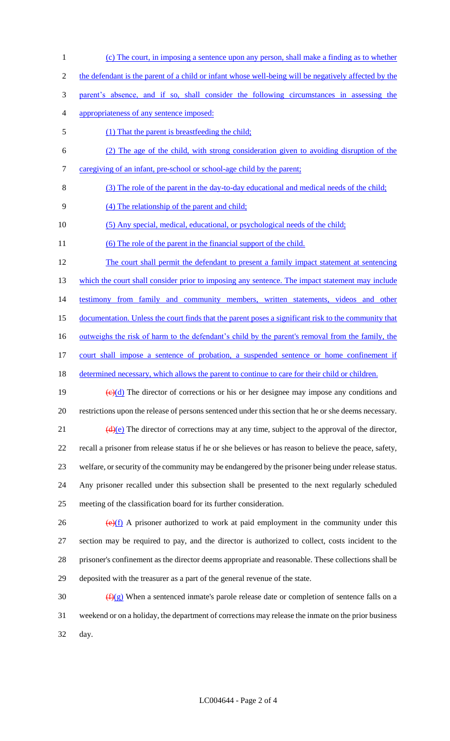- (c) The court, in imposing a sentence upon any person, shall make a finding as to whether
- the defendant is the parent of a child or infant whose well-being will be negatively affected by the
- parent's absence, and if so, shall consider the following circumstances in assessing the
- appropriateness of any sentence imposed:
- (1) That the parent is breastfeeding the child;
- (2) The age of the child, with strong consideration given to avoiding disruption of the
- caregiving of an infant, pre-school or school-age child by the parent;
- (3) The role of the parent in the day-to-day educational and medical needs of the child;
- (4) The relationship of the parent and child;
- (5) Any special, medical, educational, or psychological needs of the child;
- 11 (6) The role of the parent in the financial support of the child.

 The court shall permit the defendant to present a family impact statement at sentencing 13 which the court shall consider prior to imposing any sentence. The impact statement may include testimony from family and community members, written statements, videos and other documentation. Unless the court finds that the parent poses a significant risk to the community that 16 outweighs the risk of harm to the defendant's child by the parent's removal from the family, the court shall impose a sentence of probation, a suspended sentence or home confinement if 18 determined necessary, which allows the parent to continue to care for their child or children.

19  $\left(\frac{e}{d}\right)$  The director of corrections or his or her designee may impose any conditions and restrictions upon the release of persons sentenced under this section that he or she deems necessary.

 $(d)(e)$  The director of corrections may at any time, subject to the approval of the director, recall a prisoner from release status if he or she believes or has reason to believe the peace, safety, welfare, or security of the community may be endangered by the prisoner being under release status. Any prisoner recalled under this subsection shall be presented to the next regularly scheduled

meeting of the classification board for its further consideration.

 $(e)(f)$  A prisoner authorized to work at paid employment in the community under this section may be required to pay, and the director is authorized to collect, costs incident to the prisoner's confinement as the director deems appropriate and reasonable. These collections shall be deposited with the treasurer as a part of the general revenue of the state.

30  $(f)(g)$  When a sentenced inmate's parole release date or completion of sentence falls on a weekend or on a holiday, the department of corrections may release the inmate on the prior business day.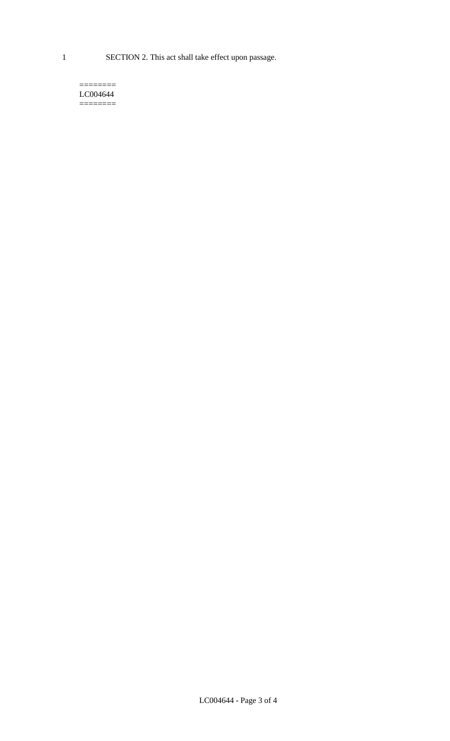1 SECTION 2. This act shall take effect upon passage.

#### $=$ LC004644  $=$

LC004644 - Page 3 of 4